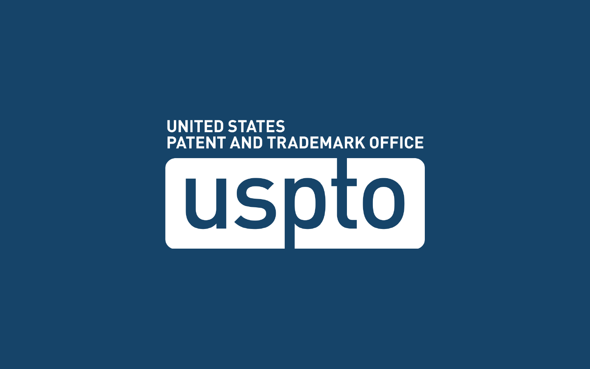#### **UNITED STATES PATENT AND TRADEMARK OFFICE**

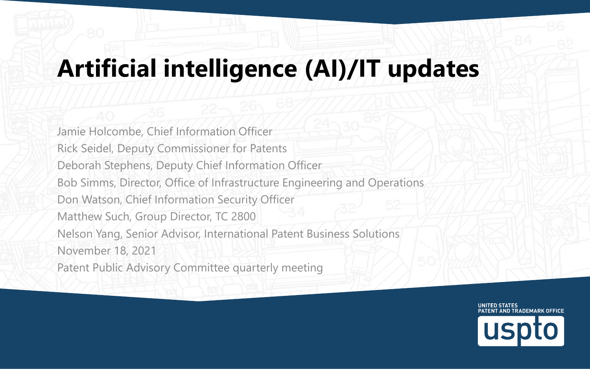### **Artificial intelligence (AI)/IT updates**

Jamie Holcombe, Chief Information Officer Rick Seidel, Deputy Commissioner for Patents Deborah Stephens, Deputy Chief Information Officer Bob Simms, Director, Office of Infrastructure Engineering and Operations Don Watson, Chief Information Security Officer Matthew Such, Group Director, TC 2800 Nelson Yang, Senior Advisor, International Patent Business Solutions November 18, 2021 Patent Public Advisory Committee quarterly meeting

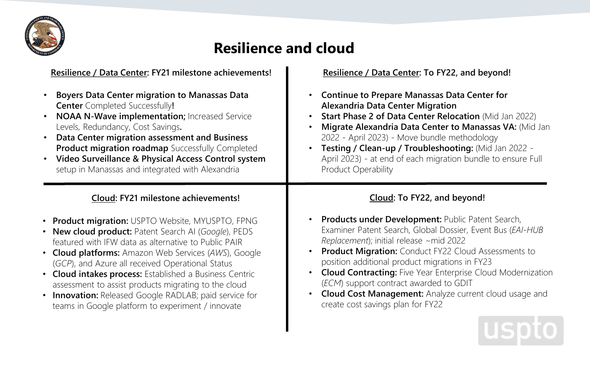

#### **Resilience and cloud**

| Resilience / Data Center: FY21 milestone achievements!  | Resilience / Data Center: To FY22, and beyond!                     |
|---------------------------------------------------------|--------------------------------------------------------------------|
| <b>Boyers Data Center migration to Manassas Data</b>    | <b>Continue to Prepare Manassas Data Center for</b>                |
| <b>Center</b> Completed Successfully!                   | <b>Alexandria Data Center Migration</b>                            |
| NOAA N-Wave implementation; Increased Service           | Start Phase 2 of Data Center Relocation (Mid Jan 2022)             |
| Levels, Redundancy, Cost Savings.                       | Migrate Alexandria Data Center to Manassas VA: (Mid Jan            |
| Data Center migration assessment and Business           | 2022 - April 2023) - Move bundle methodology                       |
| <b>Product migration roadmap</b> Successfully Completed | Testing / Clean-up / Troubleshooting: (Mid Jan 2022 -              |
| Video Surveillance & Physical Access Control system     | April 2023) - at end of each migration bundle to ensure Full       |
| setup in Manassas and integrated with Alexandria        | Product Operability                                                |
| Cloud: FY21 milestone achievements!                     | Cloud: To FY22, and beyond!                                        |
| • Product migration: USPTO Website, MYUSPTO, FPNG       | Products under Development: Public Patent Search,                  |
| • New cloud product: Patent Search AI (Google), PEDS    | Examiner Patent Search, Global Dossier, Event Bus (EAI-HUB         |
| featured with IFW data as alternative to Public PAIR    | Replacement); initial release ~mid 2022                            |
| • Cloud platforms: Amazon Web Services (AWS), Google    | <b>Product Migration:</b> Conduct FY22 Cloud Assessments to        |
| (GCP), and Azure all received Operational Status        | position additional product migrations in FY23                     |
| • Cloud intakes process: Established a Business Centric | <b>Cloud Contracting:</b> Five Year Enterprise Cloud Modernization |
| assessment to assist products migrating to the cloud    | (ECM) support contract awarded to GDIT                             |
| • Innovation: Released Google RADLAB; paid service for  | <b>Cloud Cost Management:</b> Analyze current cloud usage and      |
| teams in Google platform to experiment / innovate       | create cost savings plan for FY22                                  |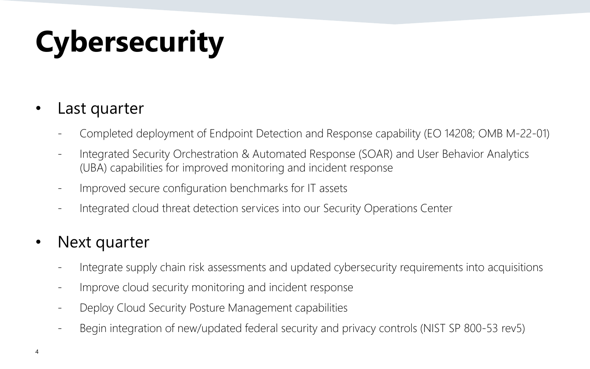# **Cybersecurity**

#### Last quarter

- Completed deployment of Endpoint Detection and Response capability (EO 14208; OMB M-22-01)
- Integrated Security Orchestration & Automated Response (SOAR) and User Behavior Analytics (UBA) capabilities for improved monitoring and incident response
- Improved secure configuration benchmarks for IT assets
- Integrated cloud threat detection services into our Security Operations Center

#### • Next quarter

- Integrate supply chain risk assessments and updated cybersecurity requirements into acquisitions
- Improve cloud security monitoring and incident response
- Deploy Cloud Security Posture Management capabilities
- Begin integration of new/updated federal security and privacy controls (NIST SP 800-53 rev5)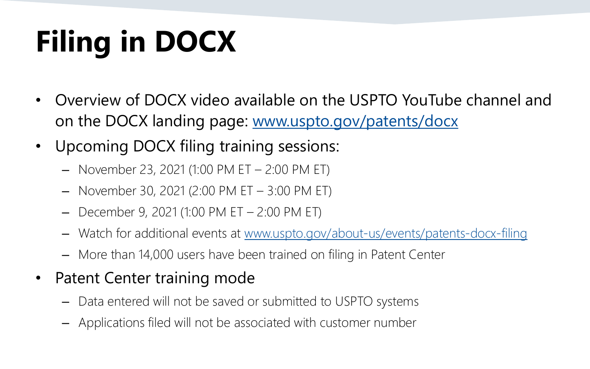# **Filing in DOCX**

- Overview of DOCX video available on the USPTO YouTube channel and on the DOCX landing page: [www.uspto.gov/patents/docx](http://www.uspto.gov/patents/docx)
- Upcoming DOCX filing training sessions:
	- November 23, 2021 (1:00 PM ET 2:00 PM ET)
	- November 30, 2021 (2:00 PM ET 3:00 PM ET)
	- December 9, 2021 (1:00 PM ET 2:00 PM ET)
	- Watch for additional events at [www.uspto.gov/about-us/events/patents-docx-filing](https://www.uspto.gov/about-us/events/patents-docx-filing)
	- More than 14,000 users have been trained on filing in Patent Center
- Patent Center training mode
	- Data entered will not be saved or submitted to USPTO systems
	- Applications filed will not be associated with customer number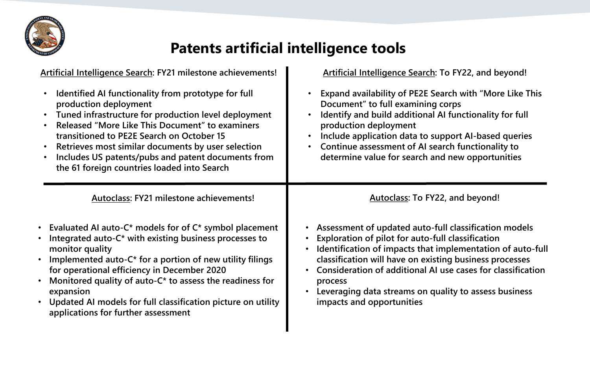

#### **Patents artificial intelligence tools**

| Artificial Intelligence Search: FY21 milestone achievements!                                                                                                                                                                                                                                                                                                                                                                                      | Artificial Intelligence Search: To FY22, and beyond!                                                                                                                                                                                                                                                                                                                                                  |
|---------------------------------------------------------------------------------------------------------------------------------------------------------------------------------------------------------------------------------------------------------------------------------------------------------------------------------------------------------------------------------------------------------------------------------------------------|-------------------------------------------------------------------------------------------------------------------------------------------------------------------------------------------------------------------------------------------------------------------------------------------------------------------------------------------------------------------------------------------------------|
| Identified AI functionality from prototype for full<br>production deployment<br>Tuned infrastructure for production level deployment<br>Released "More Like This Document" to examiners<br>transitioned to PE2E Search on October 15<br>Retrieves most similar documents by user selection<br>$\bullet$<br>Includes US patents/pubs and patent documents from<br>the 61 foreign countries loaded into Search                                      | Expand availability of PE2E Search with "More Like This<br>Document" to full examining corps<br>Identify and build additional AI functionality for full<br>production deployment<br>Include application data to support AI-based queries<br>$\bullet$<br>Continue assessment of AI search functionality to<br>$\bullet$<br>determine value for search and new opportunities                           |
| Autoclass: FY21 milestone achievements!                                                                                                                                                                                                                                                                                                                                                                                                           | Autoclass: To FY22, and beyond!                                                                                                                                                                                                                                                                                                                                                                       |
| • Evaluated AI auto-C* models for of C* symbol placement<br>Integrated auto-C* with existing business processes to<br>$\bullet$<br>monitor quality<br>• Implemented auto-C* for a portion of new utility filings<br>for operational efficiency in December 2020<br>Monitored quality of auto-C* to assess the readiness for<br>expansion<br>• Updated AI models for full classification picture on utility<br>applications for further assessment | • Assessment of updated auto-full classification models<br>Exploration of pilot for auto-full classification<br>Identification of impacts that implementation of auto-full<br>classification will have on existing business processes<br>Consideration of additional AI use cases for classification<br>process<br>Leveraging data streams on quality to assess business<br>impacts and opportunities |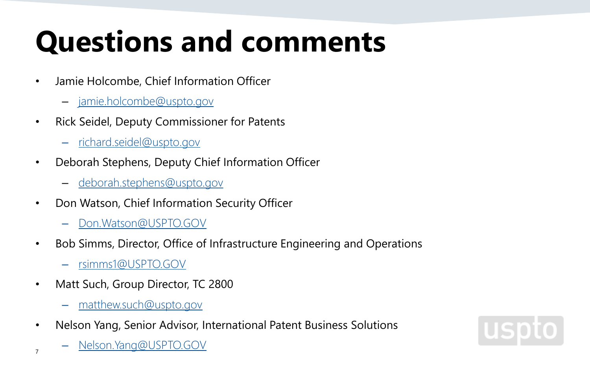### **Questions and comments**

- Jamie Holcombe, Chief Information Officer
	- [jamie.holcombe@uspto.gov](mailto:jamie.holcombe@uspto.gov)
- Rick Seidel, Deputy Commissioner for Patents
	- richard.seidel@uspto.gov
- Deborah Stephens, Deputy Chief Information Officer
	- [deborah.stephens@uspto.gov](mailto:deborah.stephens@uspto.gov)
- Don Watson, Chief Information Security Officer
	- Don.Watson@USPTO.GOV
- Bob Simms, Director, Office of Infrastructure Engineering and Operations
	- [rsimms1@USPTO.GOV](mailto:rsimms1@USPTO.GOV)
- Matt Such, Group Director, TC 2800
	- matthew.such@uspto.gov
- Nelson Yang, Senior Advisor, International Patent Business Solutions
- 7 <u>Nelson.Yang@USPTO.GOV</u>